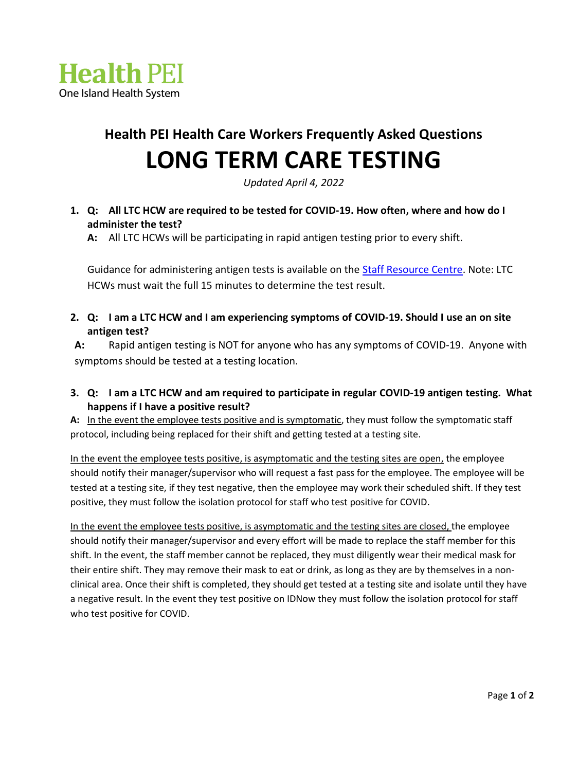

## **Health PEI Health Care Workers Frequently Asked Questions LONG TERM CARE TESTING**

*Updated April 4, 2022*

## **1. Q: All LTC HCW are required to be tested for COVID-19. How often, where and how do I administer the test?**

**A:** All LTC HCWs will be participating in rapid antigen testing prior to every shift.

Guidance for administering antigen tests is available on the **Staff Resource Centre.** Note: LTC HCWs must wait the full 15 minutes to determine the test result.

**2. Q: I am a LTC HCW and I am experiencing symptoms of COVID-19. Should I use an on site antigen test?** 

**A:** Rapid antigen testing is NOT for anyone who has any symptoms of COVID-19. Anyone with symptoms should be tested at a testing location.

## **3. Q: I am a LTC HCW and am required to participate in regular COVID-19 antigen testing. What happens if I have a positive result?**

**A:** In the event the employee tests positive and is symptomatic, they must follow the symptomatic staff protocol, including being replaced for their shift and getting tested at a testing site.

In the event the employee tests positive, is asymptomatic and the testing sites are open, the employee should notify their manager/supervisor who will request a fast pass for the employee. The employee will be tested at a testing site, if they test negative, then the employee may work their scheduled shift. If they test positive, they must follow the isolation protocol for staff who test positive for COVID.

In the event the employee tests positive, is asymptomatic and the testing sites are closed, the employee should notify their manager/supervisor and every effort will be made to replace the staff member for this shift. In the event, the staff member cannot be replaced, they must diligently wear their medical mask for their entire shift. They may remove their mask to eat or drink, as long as they are by themselves in a nonclinical area. Once their shift is completed, they should get tested at a testing site and isolate until they have a negative result. In the event they test positive on IDNow they must follow the isolation protocol for staff who test positive for COVID.